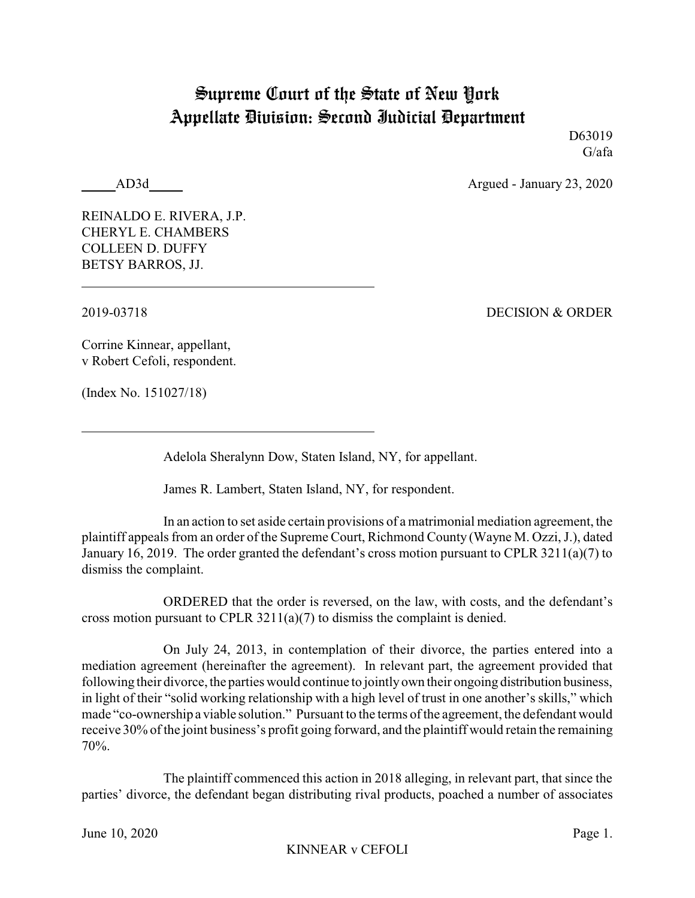## Supreme Court of the State of New York Appellate Division: Second Judicial Department

D63019 G/afa

AD3d Argued - January 23, 2020

REINALDO E. RIVERA, J.P. CHERYL E. CHAMBERS COLLEEN D. DUFFY BETSY BARROS, JJ.

2019-03718 DECISION & ORDER

Corrine Kinnear, appellant, v Robert Cefoli, respondent.

(Index No. 151027/18)

Adelola Sheralynn Dow, Staten Island, NY, for appellant.

James R. Lambert, Staten Island, NY, for respondent.

In an action to set aside certain provisions of a matrimonial mediation agreement, the plaintiff appeals from an order of the Supreme Court, Richmond County (Wayne M. Ozzi, J.), dated January 16, 2019. The order granted the defendant's cross motion pursuant to CPLR 3211(a)(7) to dismiss the complaint.

ORDERED that the order is reversed, on the law, with costs, and the defendant's cross motion pursuant to CPLR  $3211(a)(7)$  to dismiss the complaint is denied.

On July 24, 2013, in contemplation of their divorce, the parties entered into a mediation agreement (hereinafter the agreement). In relevant part, the agreement provided that following their divorce, the parties would continue to jointly own their ongoing distribution business, in light of their "solid working relationship with a high level of trust in one another's skills," which made "co-ownership a viable solution." Pursuant to the terms of the agreement, the defendant would receive 30% of the joint business's profit going forward, and the plaintiff would retain the remaining 70%.

The plaintiff commenced this action in 2018 alleging, in relevant part, that since the parties' divorce, the defendant began distributing rival products, poached a number of associates

June 10, 2020 Page 1.